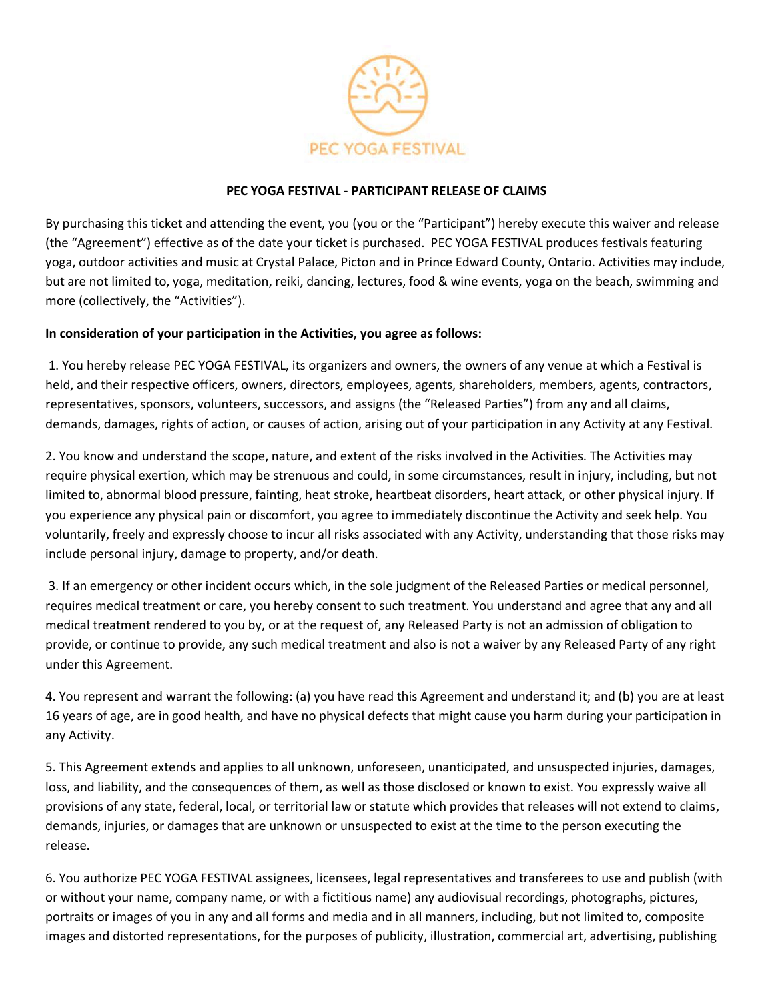

## **PEC YOGA FESTIVAL - PARTICIPANT RELEASE OF CLAIMS**

By purchasing this ticket and attending the event, you (you or the "Participant") hereby execute this waiver and release (the "Agreement") effective as of the date your ticket is purchased. PEC YOGA FESTIVAL produces festivals featuring yoga, outdoor activities and music at Crystal Palace, Picton and in Prince Edward County, Ontario. Activities may include, but are not limited to, yoga, meditation, reiki, dancing, lectures, food & wine events, yoga on the beach, swimming and more (collectively, the "Activities").

## **In consideration of your participation in the Activities, you agree as follows:**

1. You hereby release PEC YOGA FESTIVAL, its organizers and owners, the owners of any venue at which a Festival is held, and their respective officers, owners, directors, employees, agents, shareholders, members, agents, contractors, representatives, sponsors, volunteers, successors, and assigns (the "Released Parties") from any and all claims, demands, damages, rights of action, or causes of action, arising out of your participation in any Activity at any Festival.

2. You know and understand the scope, nature, and extent of the risks involved in the Activities. The Activities may require physical exertion, which may be strenuous and could, in some circumstances, result in injury, including, but not limited to, abnormal blood pressure, fainting, heat stroke, heartbeat disorders, heart attack, or other physical injury. If you experience any physical pain or discomfort, you agree to immediately discontinue the Activity and seek help. You voluntarily, freely and expressly choose to incur all risks associated with any Activity, understanding that those risks may include personal injury, damage to property, and/or death.

3. If an emergency or other incident occurs which, in the sole judgment of the Released Parties or medical personnel, requires medical treatment or care, you hereby consent to such treatment. You understand and agree that any and all medical treatment rendered to you by, or at the request of, any Released Party is not an admission of obligation to provide, or continue to provide, any such medical treatment and also is not a waiver by any Released Party of any right under this Agreement.

4. You represent and warrant the following: (a) you have read this Agreement and understand it; and (b) you are at least 16 years of age, are in good health, and have no physical defects that might cause you harm during your participation in any Activity.

5. This Agreement extends and applies to all unknown, unforeseen, unanticipated, and unsuspected injuries, damages, loss, and liability, and the consequences of them, as well as those disclosed or known to exist. You expressly waive all provisions of any state, federal, local, or territorial law or statute which provides that releases will not extend to claims, demands, injuries, or damages that are unknown or unsuspected to exist at the time to the person executing the release.

6. You authorize PEC YOGA FESTIVAL assignees, licensees, legal representatives and transferees to use and publish (with or without your name, company name, or with a fictitious name) any audiovisual recordings, photographs, pictures, portraits or images of you in any and all forms and media and in all manners, including, but not limited to, composite images and distorted representations, for the purposes of publicity, illustration, commercial art, advertising, publishing